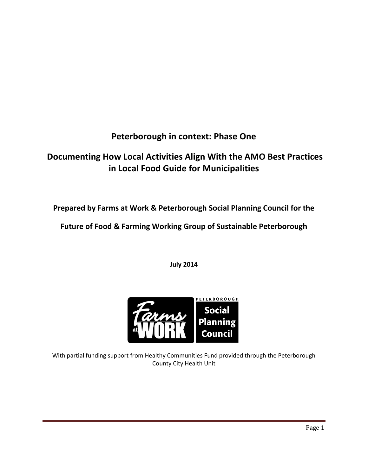# **Peterborough in context: Phase One**

# **Documenting How Local Activities Align With the AMO Best Practices in Local Food Guide for Municipalities**

**Prepared by Farms at Work & Peterborough Social Planning Council for the** 

**Future of Food & Farming Working Group of Sustainable Peterborough**

**July 2014**



With partial funding support from Healthy Communities Fund provided through the Peterborough County City Health Unit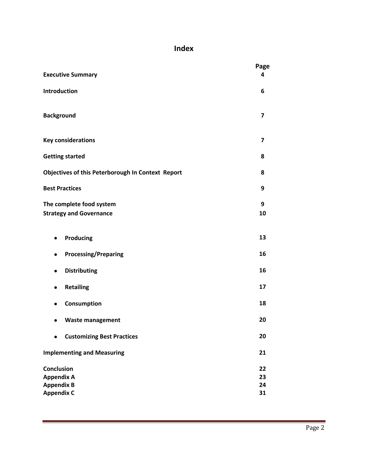# **Index**

| <b>Executive Summary</b>                                                         | Page<br>4               |
|----------------------------------------------------------------------------------|-------------------------|
| Introduction                                                                     | 6                       |
| <b>Background</b>                                                                | $\overline{\mathbf{z}}$ |
| <b>Key considerations</b>                                                        | $\overline{\mathbf{z}}$ |
| <b>Getting started</b>                                                           | 8                       |
| Objectives of this Peterborough In Context Report                                | 8                       |
| <b>Best Practices</b>                                                            | 9                       |
| The complete food system<br><b>Strategy and Governance</b>                       | 9<br>10                 |
| <b>Producing</b><br>٠                                                            | 13                      |
| <b>Processing/Preparing</b><br>٠                                                 | 16                      |
| <b>Distributing</b><br>٠                                                         | 16                      |
| <b>Retailing</b><br>$\bullet$                                                    | 17                      |
| Consumption<br>$\bullet$                                                         | 18                      |
| <b>Waste management</b>                                                          | 20                      |
| <b>Customizing Best Practices</b><br>$\bullet$                                   | 20                      |
| <b>Implementing and Measuring</b>                                                | 21                      |
| <b>Conclusion</b><br><b>Appendix A</b><br><b>Appendix B</b><br><b>Appendix C</b> | 22<br>23<br>24<br>31    |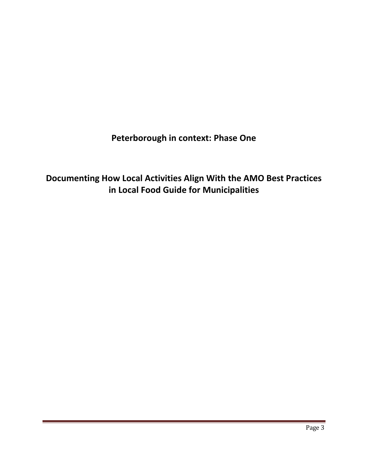**Peterborough in context: Phase One**

**Documenting How Local Activities Align With the AMO Best Practices in Local Food Guide for Municipalities**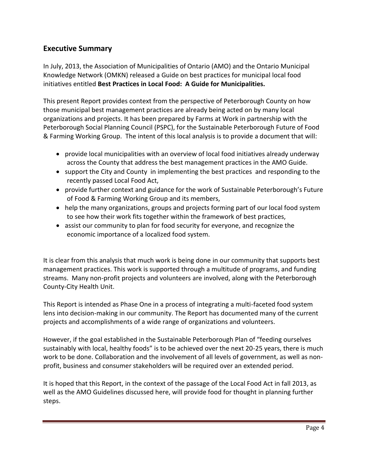## **Executive Summary**

In July, 2013, the Association of Municipalities of Ontario (AMO) and the Ontario Municipal Knowledge Network (OMKN) released a Guide on best practices for municipal local food initiatives entitled **Best Practices in Local Food: A Guide for Municipalities.** 

This present Report provides context from the perspective of Peterborough County on how those municipal best management practices are already being acted on by many local organizations and projects. It has been prepared by Farms at Work in partnership with the Peterborough Social Planning Council (PSPC), for the Sustainable Peterborough Future of Food & Farming Working Group. The intent of this local analysis is to provide a document that will:

- provide local municipalities with an overview of local food initiatives already underway across the County that address the best management practices in the AMO Guide.
- support the City and County in implementing the best practices and responding to the recently passed Local Food Act,
- provide further context and guidance for the work of Sustainable Peterborough's Future of Food & Farming Working Group and its members,
- help the many organizations, groups and projects forming part of our local food system to see how their work fits together within the framework of best practices,
- assist our community to plan for food security for everyone, and recognize the economic importance of a localized food system.

It is clear from this analysis that much work is being done in our community that supports best management practices. This work is supported through a multitude of programs, and funding streams. Many non-profit projects and volunteers are involved, along with the Peterborough County-City Health Unit.

This Report is intended as Phase One in a process of integrating a multi-faceted food system lens into decision-making in our community. The Report has documented many of the current projects and accomplishments of a wide range of organizations and volunteers.

However, if the goal established in the Sustainable Peterborough Plan of "feeding ourselves sustainably with local, healthy foods" is to be achieved over the next 20-25 years, there is much work to be done. Collaboration and the involvement of all levels of government, as well as nonprofit, business and consumer stakeholders will be required over an extended period.

It is hoped that this Report, in the context of the passage of the Local Food Act in fall 2013, as well as the AMO Guidelines discussed here, will provide food for thought in planning further steps.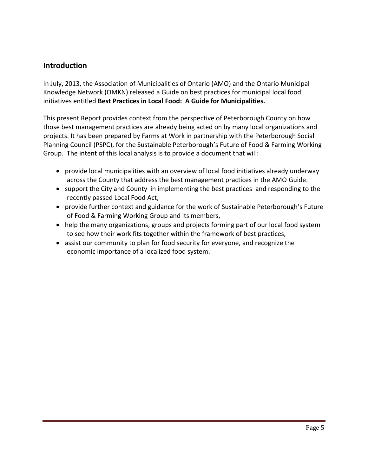## **Introduction**

In July, 2013, the Association of Municipalities of Ontario (AMO) and the Ontario Municipal Knowledge Network (OMKN) released a Guide on best practices for municipal local food initiatives entitled **Best Practices in Local Food: A Guide for Municipalities.** 

This present Report provides context from the perspective of Peterborough County on how those best management practices are already being acted on by many local organizations and projects. It has been prepared by Farms at Work in partnership with the Peterborough Social Planning Council (PSPC), for the Sustainable Peterborough's Future of Food & Farming Working Group. The intent of this local analysis is to provide a document that will:

- provide local municipalities with an overview of local food initiatives already underway across the County that address the best management practices in the AMO Guide.
- support the City and County in implementing the best practices and responding to the recently passed Local Food Act,
- provide further context and guidance for the work of Sustainable Peterborough's Future of Food & Farming Working Group and its members,
- help the many organizations, groups and projects forming part of our local food system to see how their work fits together within the framework of best practices,
- assist our community to plan for food security for everyone, and recognize the economic importance of a localized food system.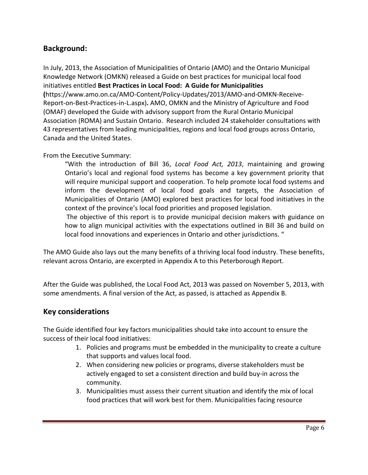## **Background:**

In July, 2013, the Association of Municipalities of Ontario (AMO) and the Ontario Municipal Knowledge Network (OMKN) released a Guide on best practices for municipal local food initiatives entitled **Best Practices in Local Food: A Guide for Municipalities (**[https://www.amo.on.ca/AMO-Content/Policy-Updates/2013/AMO-and-OMKN-Receive-](https://www.amo.on.ca/AMO-Content/Policy-Updates/2013/AMO-and-OMKN-Receive-Report-on-Best-Practices-in-L.aspx)[Report-on-Best-Practices-in-L.aspx\)](https://www.amo.on.ca/AMO-Content/Policy-Updates/2013/AMO-and-OMKN-Receive-Report-on-Best-Practices-in-L.aspx)**.** AMO, OMKN and the Ministry of Agriculture and Food (OMAF) developed the Guide with advisory support from the Rural Ontario Municipal Association (ROMA) and Sustain Ontario. Research included 24 stakeholder consultations with 43 representatives from leading municipalities, regions and local food groups across Ontario, Canada and the United States.

#### From the Executive Summary:

"With the introduction of Bill 36, *Local Food Act, 2013*, maintaining and growing Ontario's local and regional food systems has become a key government priority that will require municipal support and cooperation. To help promote local food systems and inform the development of local food goals and targets, the Association of Municipalities of Ontario (AMO) explored best practices for local food initiatives in the context of the province's local food priorities and proposed legislation.

The objective of this report is to provide municipal decision makers with guidance on how to align municipal activities with the expectations outlined in Bill 36 and build on local food innovations and experiences in Ontario and other jurisdictions. "

The AMO Guide also lays out the many benefits of a thriving local food industry. These benefits, relevant across Ontario, are excerpted in Appendix A to this Peterborough Report.

After the Guide was published, the Local Food Act, 2013 was passed on November 5, 2013, with some amendments. A final version of the Act, as passed, is attached as Appendix B.

#### **Key considerations**

The Guide identified four key factors municipalities should take into account to ensure the success of their local food initiatives:

- 1. Policies and programs must be embedded in the municipality to create a culture that supports and values local food.
- 2. When considering new policies or programs, diverse stakeholders must be actively engaged to set a consistent direction and build buy-in across the community.
- 3. Municipalities must assess their current situation and identify the mix of local food practices that will work best for them. Municipalities facing resource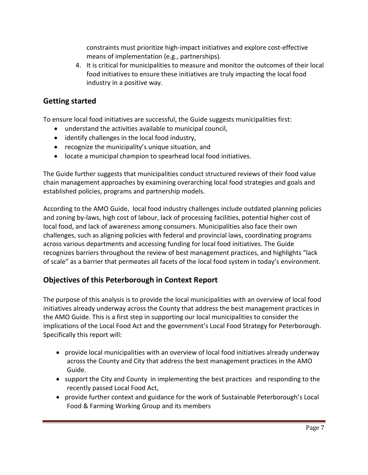constraints must prioritize high-impact initiatives and explore cost-effective means of implementation (e.g., partnerships).

4. It is critical for municipalities to measure and monitor the outcomes of their local food initiatives to ensure these initiatives are truly impacting the local food industry in a positive way.

## **Getting started**

To ensure local food initiatives are successful, the Guide suggests municipalities first:

- understand the activities available to municipal council,
- identify challenges in the local food industry,
- recognize the municipality's unique situation, and
- locate a municipal champion to spearhead local food initiatives.

The Guide further suggests that municipalities conduct structured reviews of their food value chain management approaches by examining overarching local food strategies and goals and established policies, programs and partnership models.

According to the AMO Guide, local food industry challenges include outdated planning policies and zoning by-laws, high cost of labour, lack of processing facilities, potential higher cost of local food, and lack of awareness among consumers. Municipalities also face their own challenges, such as aligning policies with federal and provincial laws, coordinating programs across various departments and accessing funding for local food initiatives. The Guide recognizes barriers throughout the review of best management practices, and highlights "lack of scale" as a barrier that permeates all facets of the local food system in today's environment.

## **Objectives of this Peterborough in Context Report**

The purpose of this analysis is to provide the local municipalities with an overview of local food initiatives already underway across the County that address the best management practices in the AMO Guide. This is a first step in supporting our local municipalities to consider the implications of the Local Food Act and the government's Local Food Strategy for Peterborough. Specifically this report will:

- provide local municipalities with an overview of local food initiatives already underway across the County and City that address the best management practices in the AMO Guide.
- support the City and County in implementing the best practices and responding to the recently passed Local Food Act,
- provide further context and guidance for the work of Sustainable Peterborough's Local Food & Farming Working Group and its members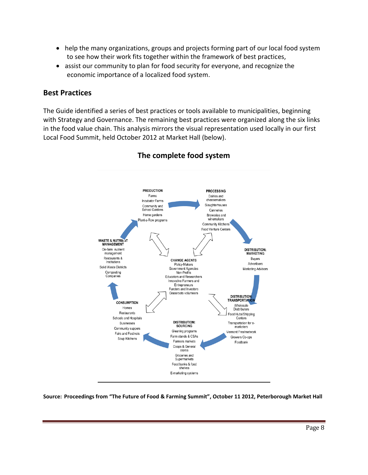- help the many organizations, groups and projects forming part of our local food system to see how their work fits together within the framework of best practices,
- assist our community to plan for food security for everyone, and recognize the economic importance of a localized food system.

#### **Best Practices**

The Guide identified a series of best practices or tools available to municipalities, beginning with Strategy and Governance. The remaining best practices were organized along the six links in the food value chain. This analysis mirrors the visual representation used locally in our first Local Food Summit, held October 2012 at Market Hall (below).



## **The complete food system**

**Source: Proceedings from "The Future of Food & Farming Summit", October 11 2012, Peterborough Market Hall**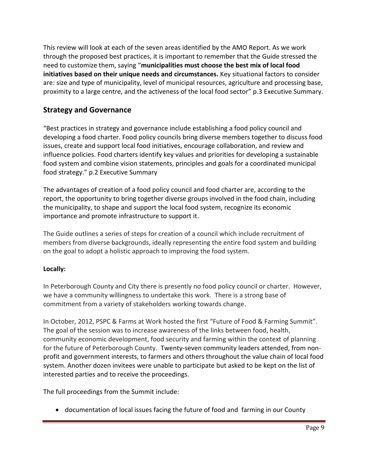This review will look at each of the seven areas identified by the AMO Report. As we work through the proposed best practices, it is important to remember that the Guide stressed the need to customize them, saying "**municipalities must choose the best mix of local food initiatives based on their unique needs and circumstances.** Key situational factors to consider are: size and type of municipality, level of municipal resources, agriculture and processing base, proximity to a large centre, and the activeness of the local food sector" p.3 Executive Summary.

## **Strategy and Governance**

"Best practices in strategy and governance include establishing a food policy council and developing a food charter. Food policy councils bring diverse members together to discuss food issues, create and support local food initiatives, encourage collaboration, and review and influence policies. Food charters identify key values and priorities for developing a sustainable food system and combine vision statements, principles and goals for a coordinated municipal food strategy." p.2 Executive Summary

The advantages of creation of a food policy council and food charter are, according to the report, the opportunity to bring together diverse groups involved in the food chain, including the municipality, to shape and support the local food system, recognize its economic importance and promote infrastructure to support it.

The Guide outlines a series of steps for creation of a council which include recruitment of members from diverse backgrounds, ideally representing the entire food system and building on the goal to adopt a holistic approach to improving the food system.

## **Locally:**

In Peterborough County and City there is presently no food policy council or charter. However, we have a community willingness to undertake this work. There is a strong base of commitment from a variety of stakeholders working towards change.

In October, 2012, PSPC & Farms at Work hosted the first "Future of Food & Farming Summit". The goal of the session was to increase awareness of the links between food, health, community economic development, food security and farming within the context of planning for the future of Peterborough County. Twenty-seven community leaders attended, from nonprofit and government interests, to farmers and others throughout the value chain of local food system. Another dozen invitees were unable to participate but asked to be kept on the list of interested parties and to receive the proceedings.

The full proceedings from the Summit include:

documentation of local issues facing the future of food and farming in our County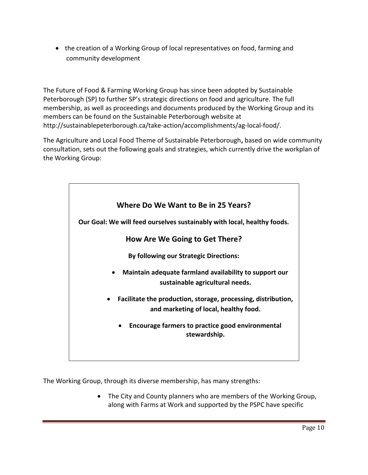• the creation of a Working Group of local representatives on food, farming and community development

The Future of Food & Farming Working Group has since been adopted by Sustainable Peterborough (SP) to further SP's strategic directions on food and agriculture. The full membership, as well as proceedings and documents produced by the Working Group and its members can be found on the Sustainable Peterborough website at [http://sustainablepeterborough.ca/take-action/accomplishments/ag-local-food/.](http://sustainablepeterborough.ca/take-action/accomplishments/ag-local-food/)

The Agriculture and Local Food Theme of Sustainable Peterborough**,** based on wide community consultation, sets out the following goals and strategies, which currently drive the workplan of the Working Group:



The Working Group, through its diverse membership, has many strengths:

• The City and County planners who are members of the Working Group, along with Farms at Work and supported by the PSPC have specific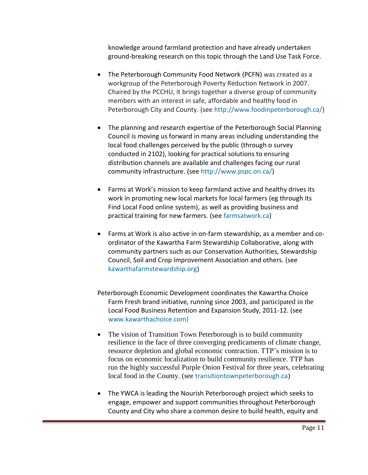knowledge around farmland protection and have already undertaken ground-breaking research on this topic through the Land Use Task Force.

- The Peterborough Community Food Network (PCFN) was created as a workgroup of the Peterborough Poverty Reduction Network in 2007. Chaired by the PCCHU, it brings together a diverse group of community members with an interest in safe, affordable and healthy food in Peterborough City and County. (see [http://www.foodinpeterborough.ca/\)](http://www.foodinpeterborough.ca/)
- The planning and research expertise of the Peterborough Social Planning Council is moving us forward in many areas including understanding the local food challenges perceived by the public (through o survey conducted in 2102), looking for practical solutions to ensuring distribution channels are available and challenges facing our rural community infrastructure. (see [http://www.pspc.on.ca/\)](http://www.pspc.on.ca/)
- Farms at Work's mission to keep farmland active and healthy drives its work in promoting new local markets for local farmers (eg through its Find Local Food online system), as well as providing business and practical training for new farmers. (see [farmsatwork.ca\)](http://www.farmsatwork.ca/)
- Farms at Work is also active in on-farm stewardship, as a member and coordinator of the Kawartha Farm Stewardship Collaborative, along with community partners such as our Conservation Authorities, Stewardship Council, Soil and Crop Improvement Association and others. (see [kawarthafarmstewardship.org\)](http://www.kawarthafarmstewardship.org/)
- Peterborough Economic Development coordinates the Kawartha Choice Farm Fresh brand initiative, running since 2003, and participated in the Local Food Business Retention and Expansion Study, 2011-12. (see [www.kawarthachoice.com\)](http://www.kawarthachoice.com)/)
- The vision of Transition Town Peterborough is to build community resilience in the face of three converging predicaments of climate change, resource depletion and global economic contraction. TTP's mission is to focus on economic localization to build community resilience. TTP has run the highly successful Purple Onion Festival for three years, celebrating local food in the County. (see [transitiontownpeterborough.ca](http://transitiontownpeterborough.ca/))
- The YWCA is leading the Nourish Peterborough project which seeks to engage, empower and support communities throughout Peterborough County and City who share a common desire to build health, equity and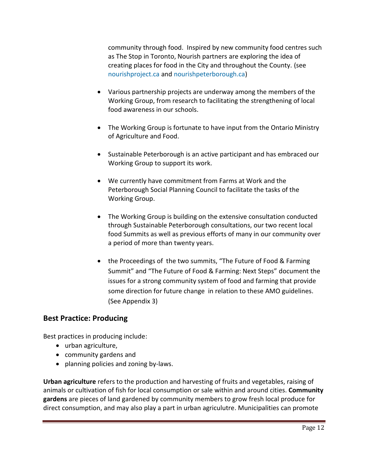community through food. Inspired by new community food centres such as The Stop in Toronto, Nourish partners are exploring the idea of creating places for food in the City and throughout the County. (see [nourishproject.ca](http://nourishproject.ca/) and [nourishpeterborough.ca\)](http://nourishpeterborough.ca/)

- Various partnership projects are underway among the members of the Working Group, from research to facilitating the strengthening of local food awareness in our schools.
- The Working Group is fortunate to have input from the Ontario Ministry of Agriculture and Food.
- Sustainable Peterborough is an active participant and has embraced our Working Group to support its work.
- We currently have commitment from Farms at Work and the Peterborough Social Planning Council to facilitate the tasks of the Working Group.
- The Working Group is building on the extensive consultation conducted through Sustainable Peterborough consultations, our two recent local food Summits as well as previous efforts of many in our community over a period of more than twenty years.
- the Proceedings of the two summits, "The Future of Food & Farming Summit" and "The Future of Food & Farming: Next Steps" document the issues for a strong community system of food and farming that provide some direction for future change in relation to these AMO guidelines. (See Appendix 3)

## **Best Practice: Producing**

Best practices in producing include:

- urban agriculture,
- community gardens and
- planning policies and zoning by-laws.

**Urban agriculture** refers to the production and harvesting of fruits and vegetables, raising of animals or cultivation of fish for local consumption or sale within and around cities. **Community gardens** are pieces of land gardened by community members to grow fresh local produce for direct consumption, and may also play a part in urban agriculutre. Municipalities can promote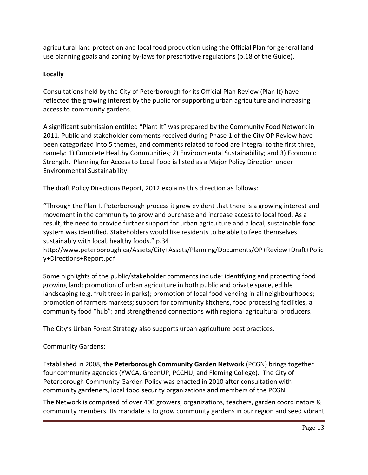agricultural land protection and local food production using the Official Plan for general land use planning goals and zoning by-laws for prescriptive regulations (p.18 of the Guide).

### **Locally**

Consultations held by the City of Peterborough for its Official Plan Review (Plan It) have reflected the growing interest by the public for supporting urban agriculture and increasing access to community gardens.

A significant submission entitled "Plant It" was prepared by the Community Food Network in 2011. Public and stakeholder comments received during Phase 1 of the City OP Review have been categorized into 5 themes, and comments related to food are integral to the first three, namely: 1) Complete Healthy Communities; 2) Environmental Sustainability; and 3) Economic Strength. Planning for Access to Local Food is listed as a Major Policy Direction under Environmental Sustainability.

The draft Policy Directions Report, 2012 explains this direction as follows:

"Through the Plan It Peterborough process it grew evident that there is a growing interest and movement in the community to grow and purchase and increase access to local food. As a result, the need to provide further support for urban agriculture and a local, sustainable food system was identified. Stakeholders would like residents to be able to feed themselves sustainably with local, healthy foods." p.34

[http://www.peterborough.ca/Assets/City+Assets/Planning/Documents/OP+Review+Draft+Polic](http://www.peterborough.ca/Assets/City+Assets/Planning/Documents/OP+Review+Draft+Policy+Directions+Report.pdf) [y+Directions+Report.pdf](http://www.peterborough.ca/Assets/City+Assets/Planning/Documents/OP+Review+Draft+Policy+Directions+Report.pdf)

Some highlights of the public/stakeholder comments include: identifying and protecting food growing land; promotion of urban agriculture in both public and private space, edible landscaping (e.g. fruit trees in parks); promotion of local food vending in all neighbourhoods; promotion of farmers markets; support for community kitchens, food processing facilities, a community food "hub"; and strengthened connections with regional agricultural producers.

The City's Urban Forest Strategy also supports urban agriculture best practices.

## Community Gardens:

Established in 2008, the **Peterborough Community Garden Network** (PCGN) brings together four community agencies (YWCA, GreenUP, PCCHU, and Fleming College). The City of Peterborough Community Garden Policy was enacted in 2010 after consultation with community gardeners, local food security organizations and members of the PCGN.

The Network is comprised of over 400 growers, organizations, teachers, garden coordinators & community members. Its mandate is to grow community gardens in our region and seed vibrant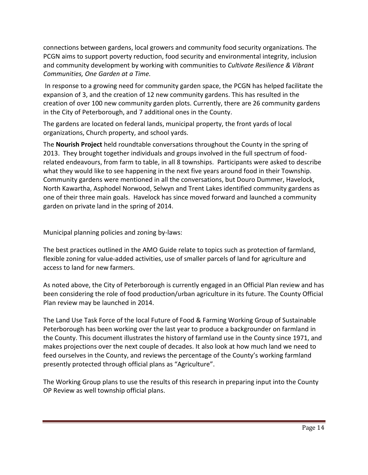connections between gardens, local growers and community food security organizations. The PCGN aims to support poverty reduction, food security and environmental integrity, inclusion and community development by working with communities to *Cultivate Resilience & Vibrant Communities, One Garden at a Time.*

In response to a growing need for community garden space, the PCGN has helped facilitate the expansion of 3, and the creation of 12 new community gardens. This has resulted in the creation of over 100 new community garden plots. Currently, there are 26 community gardens in the City of Peterborough, and 7 additional ones in the County.

The gardens are located on federal lands, municipal property, the front yards of local organizations, Church property, and school yards.

The **Nourish Project** held roundtable conversations throughout the County in the spring of 2013. They brought together individuals and groups involved in the full spectrum of foodrelated endeavours, from farm to table, in all 8 townships. Participants were asked to describe what they would like to see happening in the next five years around food in their Township. Community gardens were mentioned in all the conversations, but Douro Dummer, Havelock, North Kawartha, Asphodel Norwood, Selwyn and Trent Lakes identified community gardens as one of their three main goals. Havelock has since moved forward and launched a community garden on private land in the spring of 2014.

Municipal planning policies and zoning by-laws:

The best practices outlined in the AMO Guide relate to topics such as protection of farmland, flexible zoning for value-added activities, use of smaller parcels of land for agriculture and access to land for new farmers.

As noted above, the City of Peterborough is currently engaged in an Official Plan review and has been considering the role of food production/urban agriculture in its future. The County Official Plan review may be launched in 2014.

The Land Use Task Force of the local Future of Food & Farming Working Group of Sustainable Peterborough has been working over the last year to produce a backgrounder on farmland in the County. This document illustrates the history of farmland use in the County since 1971, and makes projections over the next couple of decades. It also look at how much land we need to feed ourselves in the County, and reviews the percentage of the County's working farmland presently protected through official plans as "Agriculture".

The Working Group plans to use the results of this research in preparing input into the County OP Review as well township official plans.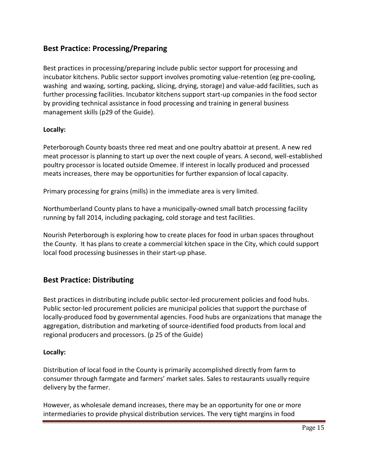## **Best Practice: Processing/Preparing**

Best practices in processing/preparing include public sector support for processing and incubator kitchens. Public sector support involves promoting value-retention (eg pre-cooling, washing and waxing, sorting, packing, slicing, drying, storage) and value-add facilities, such as further processing facilities. Incubator kitchens support start-up companies in the food sector by providing technical assistance in food processing and training in general business management skills (p29 of the Guide).

#### **Locally:**

Peterborough County boasts three red meat and one poultry abattoir at present. A new red meat processor is planning to start up over the next couple of years. A second, well-established poultry processor is located outside Omemee. If interest in locally produced and processed meats increases, there may be opportunities for further expansion of local capacity.

Primary processing for grains (mills) in the immediate area is very limited.

Northumberland County plans to have a municipally-owned small batch processing facility running by fall 2014, including packaging, cold storage and test facilities.

Nourish Peterborough is exploring how to create places for food in urban spaces throughout the County. It has plans to create a commercial kitchen space in the City, which could support local food processing businesses in their start-up phase.

## **Best Practice: Distributing**

Best practices in distributing include public sector-led procurement policies and food hubs. Public sector-led procurement policies are municipal policies that support the purchase of locally-produced food by governmental agencies. Food hubs are organizations that manage the aggregation, distribution and marketing of source-identified food products from local and regional producers and processors. (p 25 of the Guide)

#### **Locally:**

Distribution of local food in the County is primarily accomplished directly from farm to consumer through farmgate and farmers' market sales. Sales to restaurants usually require delivery by the farmer.

However, as wholesale demand increases, there may be an opportunity for one or more intermediaries to provide physical distribution services. The very tight margins in food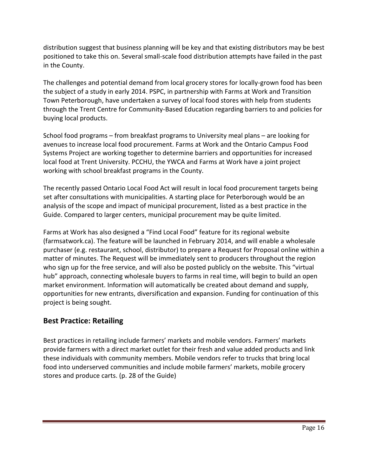distribution suggest that business planning will be key and that existing distributors may be best positioned to take this on. Several small-scale food distribution attempts have failed in the past in the County.

The challenges and potential demand from local grocery stores for locally-grown food has been the subject of a study in early 2014. PSPC, in partnership with Farms at Work and Transition Town Peterborough, have undertaken a survey of local food stores with help from students through the Trent Centre for Community-Based Education regarding barriers to and policies for buying local products.

School food programs – from breakfast programs to University meal plans – are looking for avenues to increase local food procurement. Farms at Work and the Ontario Campus Food Systems Project are working together to determine barriers and opportunities for increased local food at Trent University. PCCHU, the YWCA and Farms at Work have a joint project working with school breakfast programs in the County.

The recently passed Ontario Local Food Act will result in local food procurement targets being set after consultations with municipalities. A starting place for Peterborough would be an analysis of the scope and impact of municipal procurement, listed as a best practice in the Guide. Compared to larger centers, municipal procurement may be quite limited.

Farms at Work has also designed a "Find Local Food" feature for its regional website (farmsatwork.ca). The feature will be launched in February 2014, and will enable a wholesale purchaser (e.g. restaurant, school, distributor) to prepare a Request for Proposal online within a matter of minutes. The Request will be immediately sent to producers throughout the region who sign up for the free service, and will also be posted publicly on the website. This "virtual hub" approach, connecting wholesale buyers to farms in real time, will begin to build an open market environment. Information will automatically be created about demand and supply, opportunities for new entrants, diversification and expansion. Funding for continuation of this project is being sought.

## **Best Practice: Retailing**

Best practices in retailing include farmers' markets and mobile vendors. Farmers' markets provide farmers with a direct market outlet for their fresh and value added products and link these individuals with community members. Mobile vendors refer to trucks that bring local food into underserved communities and include mobile farmers' markets, mobile grocery stores and produce carts. (p. 28 of the Guide)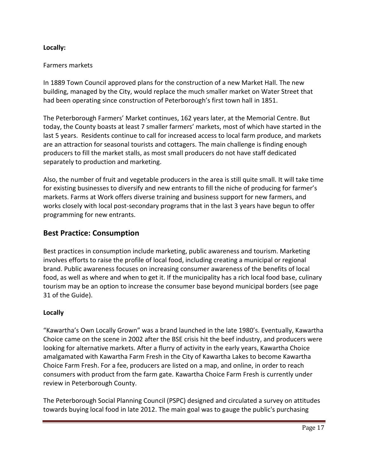#### **Locally:**

#### Farmers markets

In 1889 Town Council approved plans for the construction of a new Market Hall. The new building, managed by the City, would replace the much smaller market on Water Street that had been operating since construction of Peterborough's first town hall in 1851.

The Peterborough Farmers' Market continues, 162 years later, at the Memorial Centre. But today, the County boasts at least 7 smaller farmers' markets, most of which have started in the last 5 years. Residents continue to call for increased access to local farm produce, and markets are an attraction for seasonal tourists and cottagers. The main challenge is finding enough producers to fill the market stalls, as most small producers do not have staff dedicated separately to production and marketing.

Also, the number of fruit and vegetable producers in the area is still quite small. It will take time for existing businesses to diversify and new entrants to fill the niche of producing for farmer's markets. Farms at Work offers diverse training and business support for new farmers, and works closely with local post-secondary programs that in the last 3 years have begun to offer programming for new entrants.

#### **Best Practice: Consumption**

Best practices in consumption include marketing, public awareness and tourism. Marketing involves efforts to raise the profile of local food, including creating a municipal or regional brand. Public awareness focuses on increasing consumer awareness of the benefits of local food, as well as where and when to get it. If the municipality has a rich local food base, culinary tourism may be an option to increase the consumer base beyond municipal borders (see page 31 of the Guide).

#### **Locally**

"Kawartha's Own Locally Grown" was a brand launched in the late 1980's. Eventually, Kawartha Choice came on the scene in 2002 after the BSE crisis hit the beef industry, and producers were looking for alternative markets. After a flurry of activity in the early years, Kawartha Choice amalgamated with Kawartha Farm Fresh in the City of Kawartha Lakes to become Kawartha Choice Farm Fresh. For a fee, producers are listed on a map, and online, in order to reach consumers with product from the farm gate. Kawartha Choice Farm Fresh is currently under review in Peterborough County.

The Peterborough Social Planning Council (PSPC) designed and circulated a survey on attitudes towards buying local food in late 2012. The main goal was to gauge the public's purchasing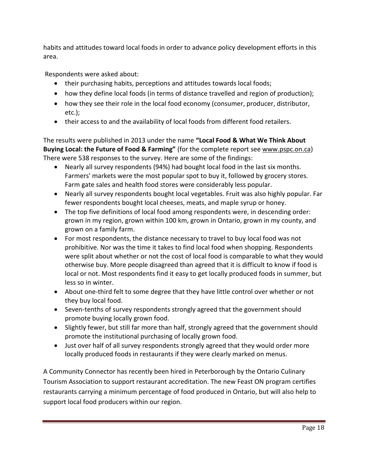habits and attitudes toward local foods in order to advance policy development efforts in this area.

Respondents were asked about:

- their purchasing habits, perceptions and attitudes towards local foods;
- how they define local foods (in terms of distance travelled and region of production);
- how they see their role in the local food economy (consumer, producer, distributor, etc.);
- their access to and the availability of local foods from different food retailers.

The results were published in 2013 under the name **"Local Food & What We Think About Buying Local: the Future of Food & Farming"** (for the complete report see [www.pspc.on.ca\)](http://www.pspc.on.ca/) There were 538 responses to the survey. Here are some of the findings:

- Nearly all survey respondents (94%) had bought local food in the last six months. Farmers' markets were the most popular spot to buy it, followed by grocery stores. Farm gate sales and health food stores were considerably less popular.
- Nearly all survey respondents bought local vegetables. Fruit was also highly popular. Far fewer respondents bought local cheeses, meats, and maple syrup or honey.
- The top five definitions of local food among respondents were, in descending order: grown in my region, grown within 100 km, grown in Ontario, grown in my county, and grown on a family farm.
- For most respondents, the distance necessary to travel to buy local food was not prohibitive. Nor was the time it takes to find local food when shopping. Respondents were split about whether or not the cost of local food is comparable to what they would otherwise buy. More people disagreed than agreed that it is difficult to know if food is local or not. Most respondents find it easy to get locally produced foods in summer, but less so in winter.
- About one-third felt to some degree that they have little control over whether or not they buy local food.
- Seven-tenths of survey respondents strongly agreed that the government should promote buying locally grown food.
- Slightly fewer, but still far more than half, strongly agreed that the government should promote the institutional purchasing of locally grown food.
- Just over half of all survey respondents strongly agreed that they would order more locally produced foods in restaurants if they were clearly marked on menus.

A Community Connector has recently been hired in Peterborough by the Ontario Culinary Tourism Association to support restaurant accreditation. The new Feast ON program certifies restaurants carrying a minimum percentage of food produced in Ontario, but will also help to support local food producers within our region.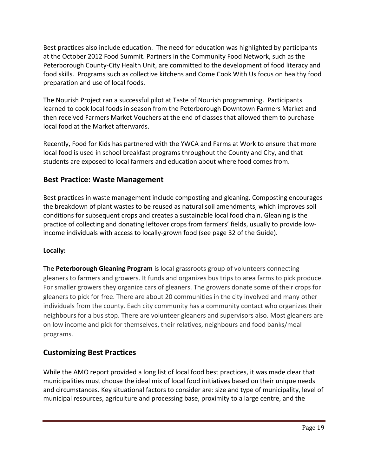Best practices also include education. The need for education was highlighted by participants at the October 2012 Food Summit. Partners in the Community Food Network, such as the Peterborough County-City Health Unit, are committed to the development of food literacy and food skills. Programs such as collective kitchens and Come Cook With Us focus on healthy food preparation and use of local foods.

The Nourish Project ran a successful pilot at Taste of Nourish programming. Participants learned to cook local foods in season from the Peterborough Downtown Farmers Market and then received Farmers Market Vouchers at the end of classes that allowed them to purchase local food at the Market afterwards.

Recently, Food for Kids has partnered with the YWCA and Farms at Work to ensure that more local food is used in school breakfast programs throughout the County and City, and that students are exposed to local farmers and education about where food comes from.

## **Best Practice: Waste Management**

Best practices in waste management include composting and gleaning. Composting encourages the breakdown of plant wastes to be reused as natural soil amendments, which improves soil conditions for subsequent crops and creates a sustainable local food chain. Gleaning is the practice of collecting and donating leftover crops from farmers' fields, usually to provide lowincome individuals with access to locally-grown food (see page 32 of the Guide).

#### **Locally:**

The **Peterborough Gleaning Program** is local grassroots group of volunteers connecting gleaners to farmers and growers. It funds and organizes bus trips to area farms to pick produce. For smaller growers they organize cars of gleaners. The growers donate some of their crops for gleaners to pick for free. There are about 20 communities in the city involved and many other individuals from the county. Each city community has a community contact who organizes their neighbours for a bus stop. There are volunteer gleaners and supervisors also. Most gleaners are on low income and pick for themselves, their relatives, neighbours and food banks/meal programs.

## **Customizing Best Practices**

While the AMO report provided a long list of local food best practices, it was made clear that municipalities must choose the ideal mix of local food initiatives based on their unique needs and circumstances. Key situational factors to consider are: size and type of municipality, level of municipal resources, agriculture and processing base, proximity to a large centre, and the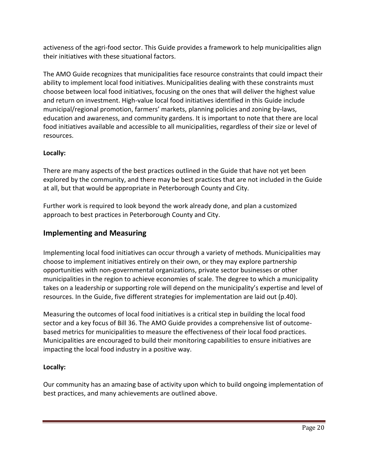activeness of the agri-food sector. This Guide provides a framework to help municipalities align their initiatives with these situational factors.

The AMO Guide recognizes that municipalities face resource constraints that could impact their ability to implement local food initiatives. Municipalities dealing with these constraints must choose between local food initiatives, focusing on the ones that will deliver the highest value and return on investment. High-value local food initiatives identified in this Guide include municipal/regional promotion, farmers' markets, planning policies and zoning by-laws, education and awareness, and community gardens. It is important to note that there are local food initiatives available and accessible to all municipalities, regardless of their size or level of resources.

## **Locally:**

There are many aspects of the best practices outlined in the Guide that have not yet been explored by the community, and there may be best practices that are not included in the Guide at all, but that would be appropriate in Peterborough County and City.

Further work is required to look beyond the work already done, and plan a customized approach to best practices in Peterborough County and City.

## **Implementing and Measuring**

Implementing local food initiatives can occur through a variety of methods. Municipalities may choose to implement initiatives entirely on their own, or they may explore partnership opportunities with non-governmental organizations, private sector businesses or other municipalities in the region to achieve economies of scale. The degree to which a municipality takes on a leadership or supporting role will depend on the municipality's expertise and level of resources. In the Guide, five different strategies for implementation are laid out (p.40).

Measuring the outcomes of local food initiatives is a critical step in building the local food sector and a key focus of Bill 36. The AMO Guide provides a comprehensive list of outcomebased metrics for municipalities to measure the effectiveness of their local food practices. Municipalities are encouraged to build their monitoring capabilities to ensure initiatives are impacting the local food industry in a positive way.

#### **Locally:**

Our community has an amazing base of activity upon which to build ongoing implementation of best practices, and many achievements are outlined above.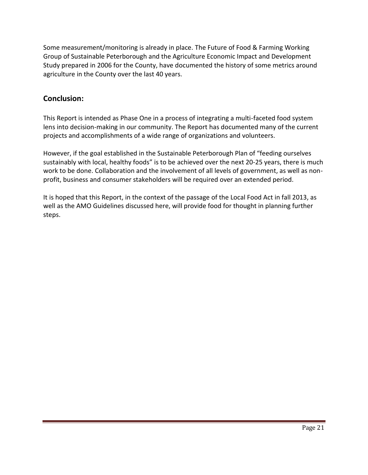Some measurement/monitoring is already in place. The Future of Food & Farming Working Group of Sustainable Peterborough and the Agriculture Economic Impact and Development Study prepared in 2006 for the County, have documented the history of some metrics around agriculture in the County over the last 40 years.

## **Conclusion:**

This Report is intended as Phase One in a process of integrating a multi-faceted food system lens into decision-making in our community. The Report has documented many of the current projects and accomplishments of a wide range of organizations and volunteers.

However, if the goal established in the Sustainable Peterborough Plan of "feeding ourselves sustainably with local, healthy foods" is to be achieved over the next 20-25 years, there is much work to be done. Collaboration and the involvement of all levels of government, as well as nonprofit, business and consumer stakeholders will be required over an extended period.

It is hoped that this Report, in the context of the passage of the Local Food Act in fall 2013, as well as the AMO Guidelines discussed here, will provide food for thought in planning further steps.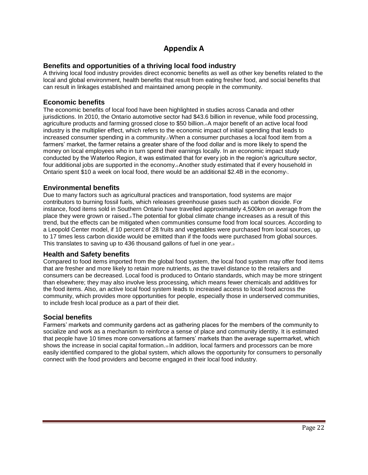## **Appendix A**

#### **Benefits and opportunities of a thriving local food industry**

A thriving local food industry provides direct economic benefits as well as other key benefits related to the local and global environment, health benefits that result from eating fresher food, and social benefits that can result in linkages established and maintained among people in the community.

#### **Economic benefits**

The economic benefits of local food have been highlighted in studies across Canada and other jurisdictions. In 2010, the Ontario automotive sector had \$43.6 billion in revenue, while food processing, agriculture products and farming grossed close to \$50 billion.4 A major benefit of an active local food industry is the multiplier effect, which refers to the economic impact of initial spending that leads to increased consumer spending in a community.<sub>5</sub> When a consumer purchases a local food item from a farmers' market, the farmer retains a greater share of the food dollar and is more likely to spend the money on local employees who in turn spend their earnings locally. In an economic impact study conducted by the Waterloo Region, it was estimated that for every job in the region's agriculture sector, four additional jobs are supported in the economy.6 Another study estimated that if every household in Ontario spent \$10 a week on local food, there would be an additional \$2.4B in the economy.

#### **Environmental benefits**

Due to many factors such as agricultural practices and transportation, food systems are major contributors to burning fossil fuels, which releases greenhouse gases such as carbon dioxide. For instance, food items sold in Southern Ontario have travelled approximately 4,500km on average from the place they were grown or raised.<sub>8</sub> The potential for global climate change increases as a result of this trend, but the effects can be mitigated when communities consume food from local sources. According to a Leopold Center model, if 10 percent of 28 fruits and vegetables were purchased from local sources, up to 17 times less carbon dioxide would be emitted than if the foods were purchased from global sources. This translates to saving up to 436 thousand gallons of fuel in one year.

#### **Health and Safety benefits**

Compared to food items imported from the global food system, the local food system may offer food items that are fresher and more likely to retain more nutrients, as the travel distance to the retailers and consumers can be decreased. Local food is produced to Ontario standards, which may be more stringent than elsewhere; they may also involve less processing, which means fewer chemicals and additives for the food items. Also, an active local food system leads to increased access to local food across the community, which provides more opportunities for people, especially those in underserved communities, to include fresh local produce as a part of their diet.

#### **Social benefits**

Farmers' markets and community gardens act as gathering places for the members of the community to socialize and work as a mechanism to reinforce a sense of place and community identity. It is estimated that people have 10 times more conversations at farmers' markets than the average supermarket, which shows the increase in social capital formation.<sup>10</sup> In addition, local farmers and processors can be more easily identified compared to the global system, which allows the opportunity for consumers to personally connect with the food providers and become engaged in their local food industry.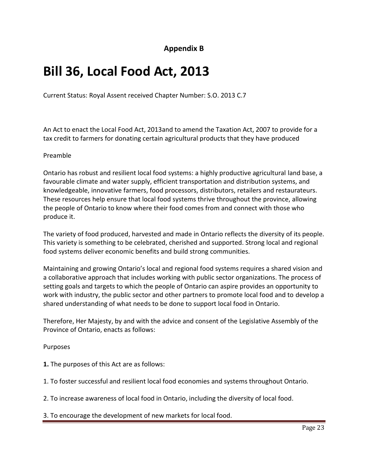**Appendix B**

# **Bill 36, Local Food Act, 2013**

Current Status: Royal Assent received Chapter Number: S.O. 2013 C.7

An Act to enact the Local Food Act, 2013and to amend the Taxation Act, 2007 to provide for a tax credit to farmers for donating certain agricultural products that they have produced

#### Preamble

Ontario has robust and resilient local food systems: a highly productive agricultural land base, a favourable climate and water supply, efficient transportation and distribution systems, and knowledgeable, innovative farmers, food processors, distributors, retailers and restaurateurs. These resources help ensure that local food systems thrive throughout the province, allowing the people of Ontario to know where their food comes from and connect with those who produce it.

The variety of food produced, harvested and made in Ontario reflects the diversity of its people. This variety is something to be celebrated, cherished and supported. Strong local and regional food systems deliver economic benefits and build strong communities.

Maintaining and growing Ontario's local and regional food systems requires a shared vision and a collaborative approach that includes working with public sector organizations. The process of setting goals and targets to which the people of Ontario can aspire provides an opportunity to work with industry, the public sector and other partners to promote local food and to develop a shared understanding of what needs to be done to support local food in Ontario.

Therefore, Her Majesty, by and with the advice and consent of the Legislative Assembly of the Province of Ontario, enacts as follows:

#### Purposes

- **1.** The purposes of this Act are as follows:
- 1. To foster successful and resilient local food economies and systems throughout Ontario.
- 2. To increase awareness of local food in Ontario, including the diversity of local food.
- 3. To encourage the development of new markets for local food.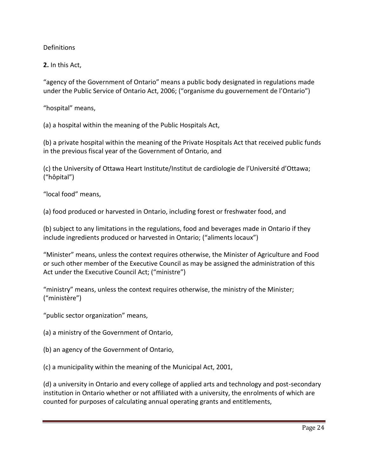#### **Definitions**

**2.** In this Act,

"agency of the Government of Ontario" means a public body designated in regulations made under the Public Service of Ontario Act, 2006; ("organisme du gouvernement de l'Ontario")

"hospital" means,

(a) a hospital within the meaning of the Public Hospitals Act,

(b) a private hospital within the meaning of the Private Hospitals Act that received public funds in the previous fiscal year of the Government of Ontario, and

(c) the University of Ottawa Heart Institute/Institut de cardiologie de l'Université d'Ottawa; ("hôpital")

"local food" means,

(a) food produced or harvested in Ontario, including forest or freshwater food, and

(b) subject to any limitations in the regulations, food and beverages made in Ontario if they include ingredients produced or harvested in Ontario; ("aliments locaux")

"Minister" means, unless the context requires otherwise, the Minister of Agriculture and Food or such other member of the Executive Council as may be assigned the administration of this Act under the Executive Council Act; ("ministre")

"ministry" means, unless the context requires otherwise, the ministry of the Minister; ("ministère")

"public sector organization" means,

(a) a ministry of the Government of Ontario,

(b) an agency of the Government of Ontario,

(c) a municipality within the meaning of the Municipal Act, 2001,

(d) a university in Ontario and every college of applied arts and technology and post-secondary institution in Ontario whether or not affiliated with a university, the enrolments of which are counted for purposes of calculating annual operating grants and entitlements,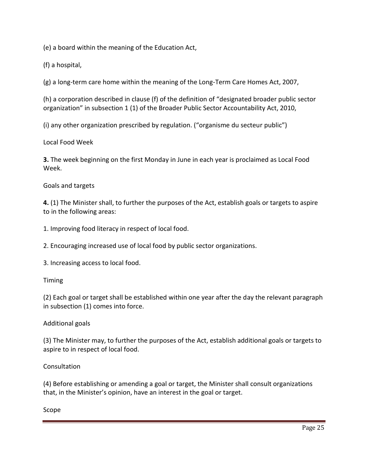(e) a board within the meaning of the Education Act,

(f) a hospital,

(g) a long-term care home within the meaning of the Long-Term Care Homes Act, 2007,

(h) a corporation described in clause (f) of the definition of "designated broader public sector organization" in subsection 1 (1) of the Broader Public Sector Accountability Act, 2010,

(i) any other organization prescribed by regulation. ("organisme du secteur public")

Local Food Week

**3.** The week beginning on the first Monday in June in each year is proclaimed as Local Food Week.

Goals and targets

**4.** (1) The Minister shall, to further the purposes of the Act, establish goals or targets to aspire to in the following areas:

1. Improving food literacy in respect of local food.

2. Encouraging increased use of local food by public sector organizations.

3. Increasing access to local food.

Timing

(2) Each goal or target shall be established within one year after the day the relevant paragraph in subsection (1) comes into force.

#### Additional goals

(3) The Minister may, to further the purposes of the Act, establish additional goals or targets to aspire to in respect of local food.

#### Consultation

(4) Before establishing or amending a goal or target, the Minister shall consult organizations that, in the Minister's opinion, have an interest in the goal or target.

Scope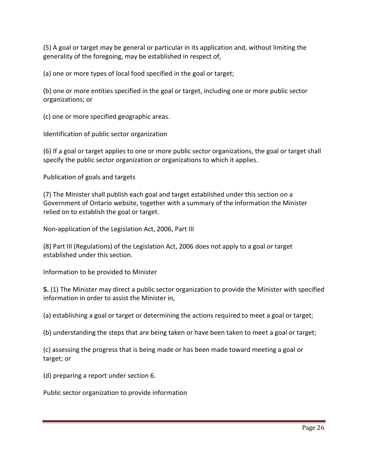(5) A goal or target may be general or particular in its application and, without limiting the generality of the foregoing, may be established in respect of,

(a) one or more types of local food specified in the goal or target;

(b) one or more entities specified in the goal or target, including one or more public sector organizations; or

(c) one or more specified geographic areas.

Identification of public sector organization

(6) If a goal or target applies to one or more public sector organizations, the goal or target shall specify the public sector organization or organizations to which it applies.

Publication of goals and targets

(7) The Minister shall publish each goal and target established under this section on a Government of Ontario website, together with a summary of the information the Minister relied on to establish the goal or target.

Non-application of the Legislation Act, 2006, Part III

(8) Part III (Regulations) of the Legislation Act, 2006 does not apply to a goal or target established under this section.

Information to be provided to Minister

**5.** (1) The Minister may direct a public sector organization to provide the Minister with specified information in order to assist the Minister in,

(a) establishing a goal or target or determining the actions required to meet a goal or target;

(b) understanding the steps that are being taken or have been taken to meet a goal or target;

(c) assessing the progress that is being made or has been made toward meeting a goal or target; or

(d) preparing a report under section 6.

Public sector organization to provide information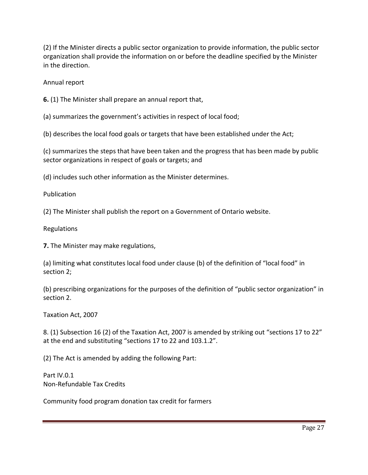(2) If the Minister directs a public sector organization to provide information, the public sector organization shall provide the information on or before the deadline specified by the Minister in the direction.

Annual report

**6.** (1) The Minister shall prepare an annual report that,

(a) summarizes the government's activities in respect of local food;

(b) describes the local food goals or targets that have been established under the Act;

(c) summarizes the steps that have been taken and the progress that has been made by public sector organizations in respect of goals or targets; and

(d) includes such other information as the Minister determines.

Publication

(2) The Minister shall publish the report on a Government of Ontario website.

Regulations

**7.** The Minister may make regulations,

(a) limiting what constitutes local food under clause (b) of the definition of "local food" in section 2;

(b) prescribing organizations for the purposes of the definition of "public sector organization" in section 2.

Taxation Act, 2007

8. (1) Subsection 16 (2) of the Taxation Act, 2007 is amended by striking out "sections 17 to 22" at the end and substituting "sections 17 to 22 and 103.1.2".

(2) The Act is amended by adding the following Part:

Part IV.0.1 Non-Refundable Tax Credits

Community food program donation tax credit for farmers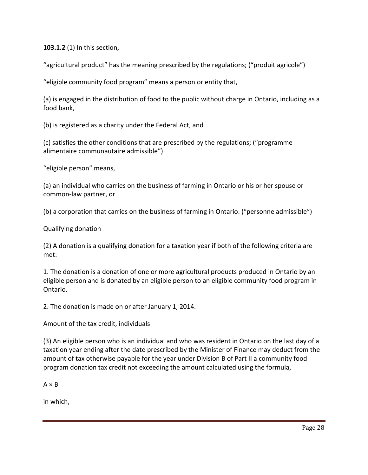**103.1.2** (1) In this section,

"agricultural product" has the meaning prescribed by the regulations; ("produit agricole")

"eligible community food program" means a person or entity that,

(a) is engaged in the distribution of food to the public without charge in Ontario, including as a food bank,

(b) is registered as a charity under the Federal Act, and

(c) satisfies the other conditions that are prescribed by the regulations; ("programme alimentaire communautaire admissible")

"eligible person" means,

(a) an individual who carries on the business of farming in Ontario or his or her spouse or common-law partner, or

(b) a corporation that carries on the business of farming in Ontario. ("personne admissible")

Qualifying donation

(2) A donation is a qualifying donation for a taxation year if both of the following criteria are met:

1. The donation is a donation of one or more agricultural products produced in Ontario by an eligible person and is donated by an eligible person to an eligible community food program in Ontario.

2. The donation is made on or after January 1, 2014.

Amount of the tax credit, individuals

(3) An eligible person who is an individual and who was resident in Ontario on the last day of a taxation year ending after the date prescribed by the Minister of Finance may deduct from the amount of tax otherwise payable for the year under Division B of Part II a community food program donation tax credit not exceeding the amount calculated using the formula,

 $A \times B$ 

in which,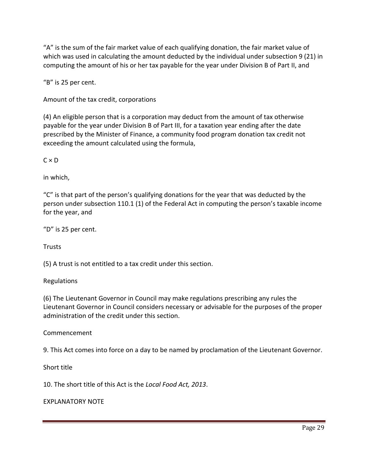"A" is the sum of the fair market value of each qualifying donation, the fair market value of which was used in calculating the amount deducted by the individual under subsection 9 (21) in computing the amount of his or her tax payable for the year under Division B of Part II, and

"B" is 25 per cent.

Amount of the tax credit, corporations

(4) An eligible person that is a corporation may deduct from the amount of tax otherwise payable for the year under Division B of Part III, for a taxation year ending after the date prescribed by the Minister of Finance, a community food program donation tax credit not exceeding the amount calculated using the formula,

 $C \times D$ 

in which,

"C" is that part of the person's qualifying donations for the year that was deducted by the person under subsection 110.1 (1) of the Federal Act in computing the person's taxable income for the year, and

"D" is 25 per cent.

**Trusts** 

(5) A trust is not entitled to a tax credit under this section.

Regulations

(6) The Lieutenant Governor in Council may make regulations prescribing any rules the Lieutenant Governor in Council considers necessary or advisable for the purposes of the proper administration of the credit under this section.

Commencement

9. This Act comes into force on a day to be named by proclamation of the Lieutenant Governor.

Short title

10. The short title of this Act is the *Local Food Act, 2013*.

EXPLANATORY NOTE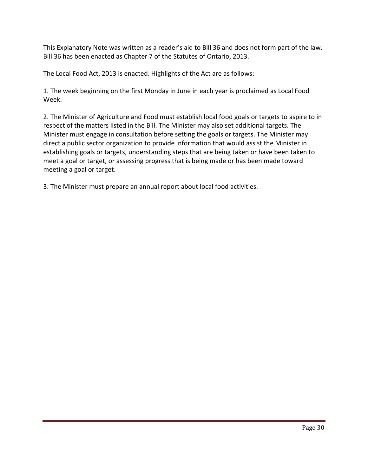This Explanatory Note was written as a reader's aid to Bill 36 and does not form part of the law. Bill 36 has been enacted as Chapter 7 of the Statutes of Ontario, 2013.

The Local Food Act, 2013 is enacted. Highlights of the Act are as follows:

1. The week beginning on the first Monday in June in each year is proclaimed as Local Food Week.

2. The Minister of Agriculture and Food must establish local food goals or targets to aspire to in respect of the matters listed in the Bill. The Minister may also set additional targets. The Minister must engage in consultation before setting the goals or targets. The Minister may direct a public sector organization to provide information that would assist the Minister in establishing goals or targets, understanding steps that are being taken or have been taken to meet a goal or target, or assessing progress that is being made or has been made toward meeting a goal or target.

3. The Minister must prepare an annual report about local food activities.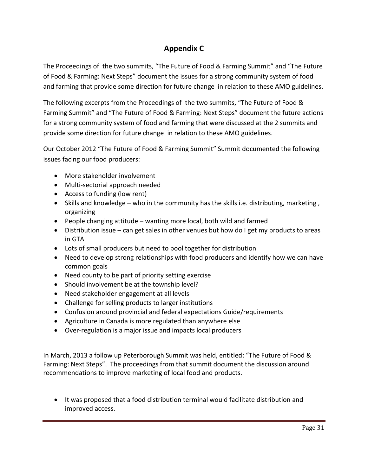## **Appendix C**

The Proceedings of the two summits, "The Future of Food & Farming Summit" and "The Future of Food & Farming: Next Steps" document the issues for a strong community system of food and farming that provide some direction for future change in relation to these AMO guidelines.

The following excerpts from the Proceedings of the two summits, "The Future of Food & Farming Summit" and "The Future of Food & Farming: Next Steps" document the future actions for a strong community system of food and farming that were discussed at the 2 summits and provide some direction for future change in relation to these AMO guidelines.

Our October 2012 "The Future of Food & Farming Summit" Summit documented the following issues facing our food producers:

- More stakeholder involvement
- Multi-sectorial approach needed
- Access to funding (low rent)
- Skills and knowledge who in the community has the skills i.e. distributing, marketing, organizing
- People changing attitude wanting more local, both wild and farmed
- Distribution issue can get sales in other venues but how do I get my products to areas in GTA
- Lots of small producers but need to pool together for distribution
- Need to develop strong relationships with food producers and identify how we can have common goals
- Need county to be part of priority setting exercise
- Should involvement be at the township level?
- Need stakeholder engagement at all levels
- Challenge for selling products to larger institutions
- Confusion around provincial and federal expectations Guide/requirements
- Agriculture in Canada is more regulated than anywhere else
- Over-regulation is a major issue and impacts local producers

In March, 2013 a follow up Peterborough Summit was held, entitled: "The Future of Food & Farming: Next Steps". The proceedings from that summit document the discussion around recommendations to improve marketing of local food and products.

 It was proposed that a food distribution terminal would facilitate distribution and improved access.